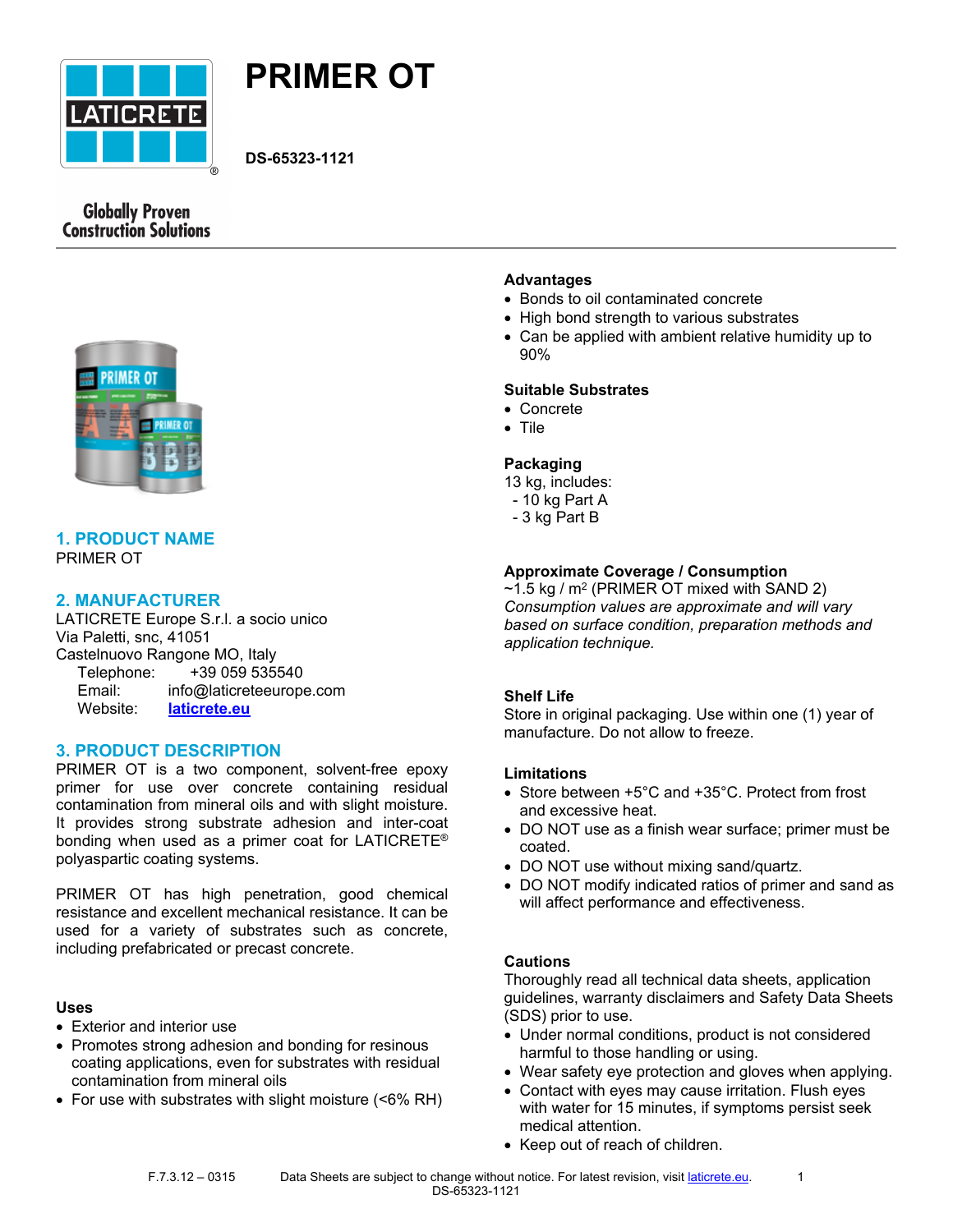



**DS-65323-1121**

# **Globally Proven Construction Solutions**



#### **1. PRODUCT NAME** PRIMER OT

## **2. MANUFACTURER**

LATICRETE Europe S.r.l. a socio unico Via Paletti, snc, 41051 Castelnuovo Rangone MO, Italy Telephone: +39 059 535540 Email: info@laticreteeurope.com Website: **[laticrete.eu](http://www.laticrete.eu/)**

## **3. PRODUCT DESCRIPTION**

PRIMER OT is a two component, solvent-free epoxy primer for use over concrete containing residual contamination from mineral oils and with slight moisture. It provides strong substrate adhesion and inter-coat bonding when used as a primer coat for LATICRETE® polyaspartic coating systems.

PRIMER OT has high penetration, good chemical resistance and excellent mechanical resistance. It can be used for a variety of substrates such as concrete, including prefabricated or precast concrete.

#### **Uses**

- Exterior and interior use
- Promotes strong adhesion and bonding for resinous coating applications, even for substrates with residual contamination from mineral oils
- For use with substrates with slight moisture (<6% RH)

## **Advantages**

- Bonds to oil contaminated concrete
- High bond strength to various substrates
- Can be applied with ambient relative humidity up to 90%

## **Suitable Substrates**

- Concrete
- Tile

## **Packaging**

- 13 kg, includes:
- 10 kg Part A
- 3 kg Part B

## **Approximate Coverage / Consumption**

 $\sim$ 1.5 kg / m $^2$  (PRIMER OT mixed with SAND 2) *Consumption values are approximate and will vary based on surface condition, preparation methods and application technique.*

## **Shelf Life**

Store in original packaging. Use within one (1) year of manufacture. Do not allow to freeze.

#### **Limitations**

- Store between +5°C and +35°C. Protect from frost and excessive heat.
- DO NOT use as a finish wear surface; primer must be coated.
- DO NOT use without mixing sand/quartz.
- DO NOT modify indicated ratios of primer and sand as will affect performance and effectiveness.

## **Cautions**

Thoroughly read all technical data sheets, application guidelines, warranty disclaimers and Safety Data Sheets (SDS) prior to use.

- Under normal conditions, product is not considered harmful to those handling or using.
- Wear safety eye protection and gloves when applying.
- Contact with eyes may cause irritation. Flush eyes with water for 15 minutes, if symptoms persist seek medical attention.
- Keep out of reach of children.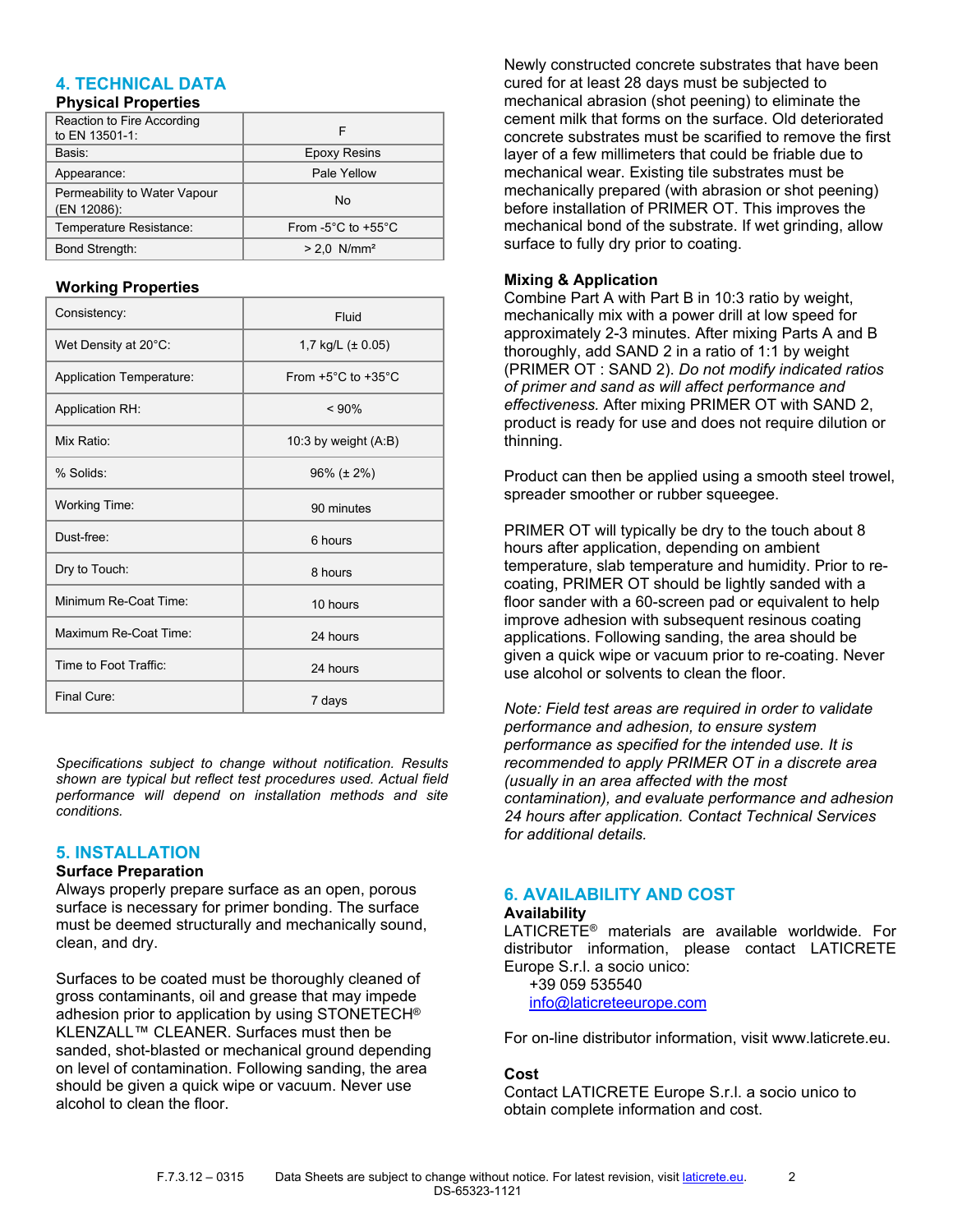# **4. TECHNICAL DATA**

#### **Physical Properties**

| Reaction to Fire According<br>to EN 13501-1: | F                                      |
|----------------------------------------------|----------------------------------------|
| Basis:                                       | <b>Epoxy Resins</b>                    |
| Appearance:                                  | Pale Yellow                            |
| Permeability to Water Vapour<br>(EN 12086):  | No                                     |
| Temperature Resistance:                      | From $-5^{\circ}$ C to $+55^{\circ}$ C |
| Bond Strength:                               | $> 2.0$ N/mm <sup>2</sup>              |

#### **Working Properties**

| Consistency:             | Fluid                                  |
|--------------------------|----------------------------------------|
| Wet Density at 20°C:     | 1,7 kg/L $(\pm 0.05)$                  |
| Application Temperature: | From $+5^{\circ}$ C to $+35^{\circ}$ C |
| <b>Application RH:</b>   | $< 90\%$                               |
| Mix Ratio:               | 10:3 by weight (A:B)                   |
| % Solids:                | $96\%$ ( $\pm$ 2%)                     |
| Working Time:            | 90 minutes                             |
| Dust-free:               | 6 hours                                |
| Dry to Touch:            | 8 hours                                |
| Minimum Re-Coat Time:    | 10 hours                               |
| Maximum Re-Coat Time:    | 24 hours                               |
| Time to Foot Traffic:    | 24 hours                               |
| Final Cure:              | 7 days                                 |

*Specifications subject to change without notification. Results shown are typical but reflect test procedures used. Actual field performance will depend on installation methods and site conditions.*

#### **5. INSTALLATION**

#### **Surface Preparation**

Always properly prepare surface as an open, porous surface is necessary for primer bonding. The surface must be deemed structurally and mechanically sound, clean, and dry.

Surfaces to be coated must be thoroughly cleaned of gross contaminants, oil and grease that may impede adhesion prior to application by using STONETECH® KLENZALL™ CLEANER. Surfaces must then be sanded, shot-blasted or mechanical ground depending on level of contamination. Following sanding, the area should be given a quick wipe or vacuum. Never use alcohol to clean the floor.

Newly constructed concrete substrates that have been cured for at least 28 days must be subjected to mechanical abrasion (shot peening) to eliminate the cement milk that forms on the surface. Old deteriorated concrete substrates must be scarified to remove the first layer of a few millimeters that could be friable due to mechanical wear. Existing tile substrates must be mechanically prepared (with abrasion or shot peening) before installation of PRIMER OT. This improves the mechanical bond of the substrate. If wet grinding, allow surface to fully dry prior to coating.

## **Mixing & Application**

Combine Part A with Part B in 10:3 ratio by weight, mechanically mix with a power drill at low speed for approximately 2-3 minutes. After mixing Parts A and B thoroughly, add SAND 2 in a ratio of 1:1 by weight (PRIMER OT : SAND 2). *Do not modify indicated ratios of primer and sand as will affect performance and effectiveness.* After mixing PRIMER OT with SAND 2, product is ready for use and does not require dilution or thinning.

Product can then be applied using a smooth steel trowel, spreader smoother or rubber squeegee.

PRIMER OT will typically be dry to the touch about 8 hours after application, depending on ambient temperature, slab temperature and humidity. Prior to recoating, PRIMER OT should be lightly sanded with a floor sander with a 60-screen pad or equivalent to help improve adhesion with subsequent resinous coating applications. Following sanding, the area should be given a quick wipe or vacuum prior to re-coating. Never use alcohol or solvents to clean the floor.

*Note: Field test areas are required in order to validate performance and adhesion, to ensure system performance as specified for the intended use. It is recommended to apply PRIMER OT in a discrete area (usually in an area affected with the most contamination), and evaluate performance and adhesion 24 hours after application. Contact [Technical Services](mailto:technicalservices@laticreteeurope.com?subject=PRIMER%20OT%20-%20Adhesion%20Test) for additional details.* 

# **6. AVAILABILITY AND COST**

#### **Availability**

LATICRETE® materials are available worldwide. For distributor information, please contact LATICRETE Europe S.r.l. a socio unico:

+39 059 535540

[info@laticreteeurope.com](mailto:info@laticreteeurope.com)

For on-line distributor information, visit www.laticrete.eu.

#### **Cost**

Contact LATICRETE Europe S.r.l. a socio unico to obtain complete information and cost.